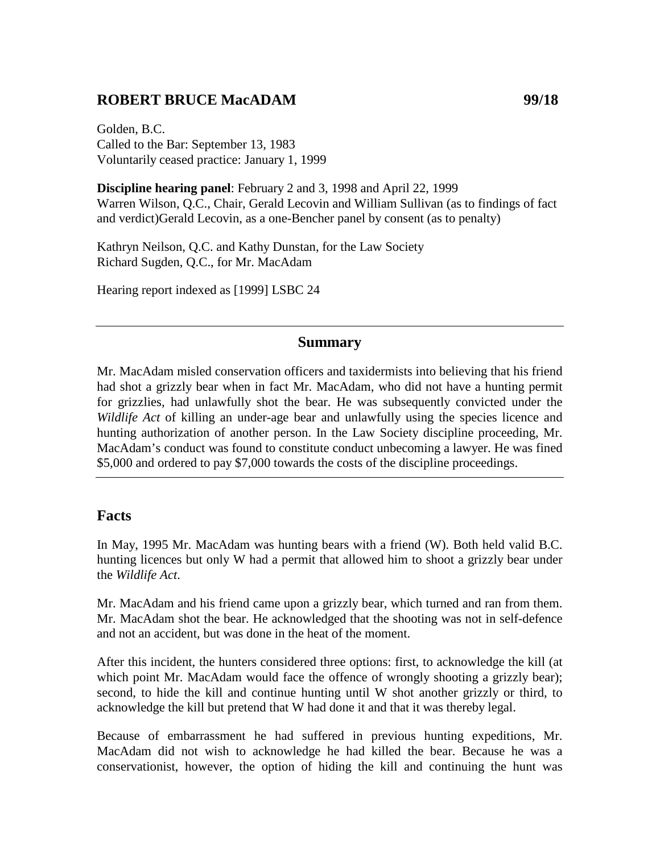## **ROBERT BRUCE MacADAM 99/18**

Golden, B.C. Called to the Bar: September 13, 1983 Voluntarily ceased practice: January 1, 1999

**Discipline hearing panel**: February 2 and 3, 1998 and April 22, 1999 Warren Wilson, Q.C., Chair, Gerald Lecovin and William Sullivan (as to findings of fact and verdict)Gerald Lecovin, as a one-Bencher panel by consent (as to penalty)

Kathryn Neilson, Q.C. and Kathy Dunstan, for the Law Society Richard Sugden, Q.C., for Mr. MacAdam

Hearing report indexed as [1999] LSBC 24

#### **Summary**

Mr. MacAdam misled conservation officers and taxidermists into believing that his friend had shot a grizzly bear when in fact Mr. MacAdam, who did not have a hunting permit for grizzlies, had unlawfully shot the bear. He was subsequently convicted under the *Wildlife Act* of killing an under-age bear and unlawfully using the species licence and hunting authorization of another person. In the Law Society discipline proceeding, Mr. MacAdam's conduct was found to constitute conduct unbecoming a lawyer. He was fined \$5,000 and ordered to pay \$7,000 towards the costs of the discipline proceedings.

### **Facts**

In May, 1995 Mr. MacAdam was hunting bears with a friend (W). Both held valid B.C. hunting licences but only W had a permit that allowed him to shoot a grizzly bear under the *Wildlife Act*.

Mr. MacAdam and his friend came upon a grizzly bear, which turned and ran from them. Mr. MacAdam shot the bear. He acknowledged that the shooting was not in self-defence and not an accident, but was done in the heat of the moment.

After this incident, the hunters considered three options: first, to acknowledge the kill (at which point Mr. MacAdam would face the offence of wrongly shooting a grizzly bear); second, to hide the kill and continue hunting until W shot another grizzly or third, to acknowledge the kill but pretend that W had done it and that it was thereby legal.

Because of embarrassment he had suffered in previous hunting expeditions, Mr. MacAdam did not wish to acknowledge he had killed the bear. Because he was a conservationist, however, the option of hiding the kill and continuing the hunt was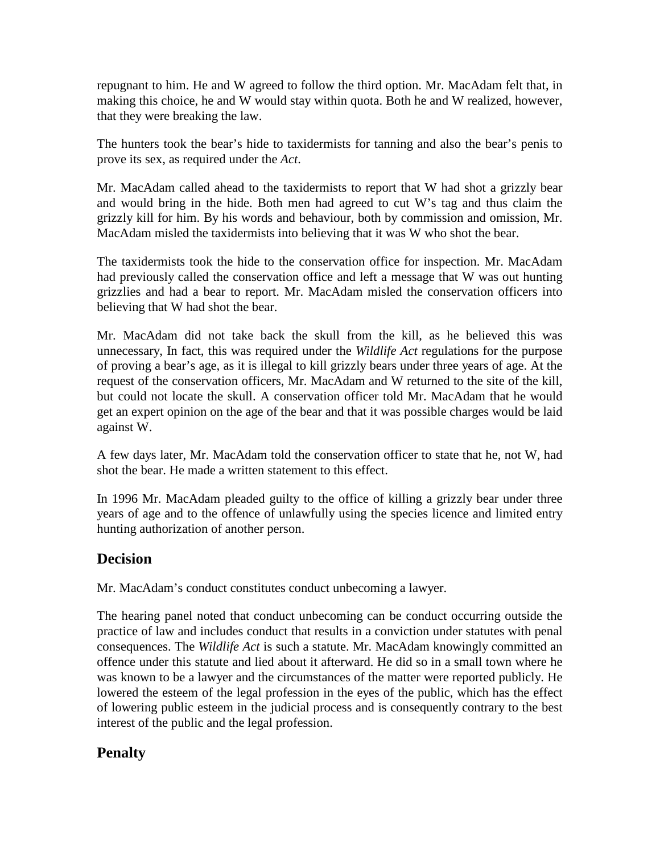repugnant to him. He and W agreed to follow the third option. Mr. MacAdam felt that, in making this choice, he and W would stay within quota. Both he and W realized, however, that they were breaking the law.

The hunters took the bear's hide to taxidermists for tanning and also the bear's penis to prove its sex, as required under the *Act*.

Mr. MacAdam called ahead to the taxidermists to report that W had shot a grizzly bear and would bring in the hide. Both men had agreed to cut W's tag and thus claim the grizzly kill for him. By his words and behaviour, both by commission and omission, Mr. MacAdam misled the taxidermists into believing that it was W who shot the bear.

The taxidermists took the hide to the conservation office for inspection. Mr. MacAdam had previously called the conservation office and left a message that W was out hunting grizzlies and had a bear to report. Mr. MacAdam misled the conservation officers into believing that W had shot the bear.

Mr. MacAdam did not take back the skull from the kill, as he believed this was unnecessary, In fact, this was required under the *Wildlife Act* regulations for the purpose of proving a bear's age, as it is illegal to kill grizzly bears under three years of age. At the request of the conservation officers, Mr. MacAdam and W returned to the site of the kill, but could not locate the skull. A conservation officer told Mr. MacAdam that he would get an expert opinion on the age of the bear and that it was possible charges would be laid against W.

A few days later, Mr. MacAdam told the conservation officer to state that he, not W, had shot the bear. He made a written statement to this effect.

In 1996 Mr. MacAdam pleaded guilty to the office of killing a grizzly bear under three years of age and to the offence of unlawfully using the species licence and limited entry hunting authorization of another person.

### **Decision**

Mr. MacAdam's conduct constitutes conduct unbecoming a lawyer.

The hearing panel noted that conduct unbecoming can be conduct occurring outside the practice of law and includes conduct that results in a conviction under statutes with penal consequences. The *Wildlife Act* is such a statute. Mr. MacAdam knowingly committed an offence under this statute and lied about it afterward. He did so in a small town where he was known to be a lawyer and the circumstances of the matter were reported publicly. He lowered the esteem of the legal profession in the eyes of the public, which has the effect of lowering public esteem in the judicial process and is consequently contrary to the best interest of the public and the legal profession.

# **Penalty**